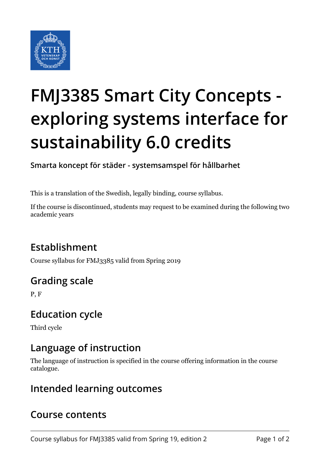

# **FMJ3385 Smart City Concepts exploring systems interface for sustainability 6.0 credits**

**Smarta koncept för städer - systemsamspel för hållbarhet**

This is a translation of the Swedish, legally binding, course syllabus.

If the course is discontinued, students may request to be examined during the following two academic years

## **Establishment**

Course syllabus for FMJ3385 valid from Spring 2019

## **Grading scale**

P, F

#### **Education cycle**

Third cycle

### **Language of instruction**

The language of instruction is specified in the course offering information in the course catalogue.

#### **Intended learning outcomes**

#### **Course contents**